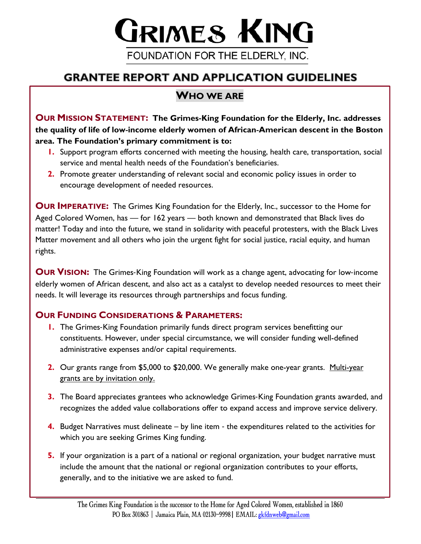# GRIMES KING FOUNDATION FOR THE ELDERLY, INC.

# **GRANTEE REPORT AND APPLICATION GUIDELINES**

# **WHO WE ARE**

**OUR MISSION STATEMENT: The Grimes**-**King Foundation for the Elderly, Inc. addresses the quality of life of low**-**income elderly women of African**-**American descent in the Boston area. The Foundation's primary commitment is to:** 

- **1.** Support program efforts concerned with meeting the housing, health care, transportation, social service and mental health needs of the Foundation's beneficiaries.
- **2.** Promote greater understanding of relevant social and economic policy issues in order to encourage development of needed resources.

**OUR IMPERATIVE:** The Grimes King Foundation for the Elderly, Inc., successor to the Home for Aged Colored Women, has — for 162 years — both known and demonstrated that Black lives do matter! Today and into the future, we stand in solidarity with peaceful protesters, with the Black Lives Matter movement and all others who join the urgent fight for social justice, racial equity, and human rights.

**OUR VISION:** The Grimes-King Foundation will work as a change agent, advocating for low-income elderly women of African descent, and also act as a catalyst to develop needed resources to meet their needs. It will leverage its resources through partnerships and focus funding.

## **OUR FUNDING CONSIDERATIONS & PARAMETERS:**

- **1.** The Grimes-King Foundation primarily funds direct program services benefitting our constituents. However, under special circumstance, we will consider funding well-defined administrative expenses and/or capital requirements.
- **2.** Our grants range from \$5,000 to \$20,000. We generally make one-year grants. Multi-year grants are by invitation only.
- **3.** The Board appreciates grantees who acknowledge Grimes-King Foundation grants awarded, and recognizes the added value collaborations offer to expand access and improve service delivery.
- **4.** Budget Narratives must delineate by line item the expenditures related to the activities for which you are seeking Grimes King funding.
- **5.** If your organization is a part of a national or regional organization, your budget narrative must include the amount that the national or regional organization contributes to your efforts, generally, and to the initiative we are asked to fund.